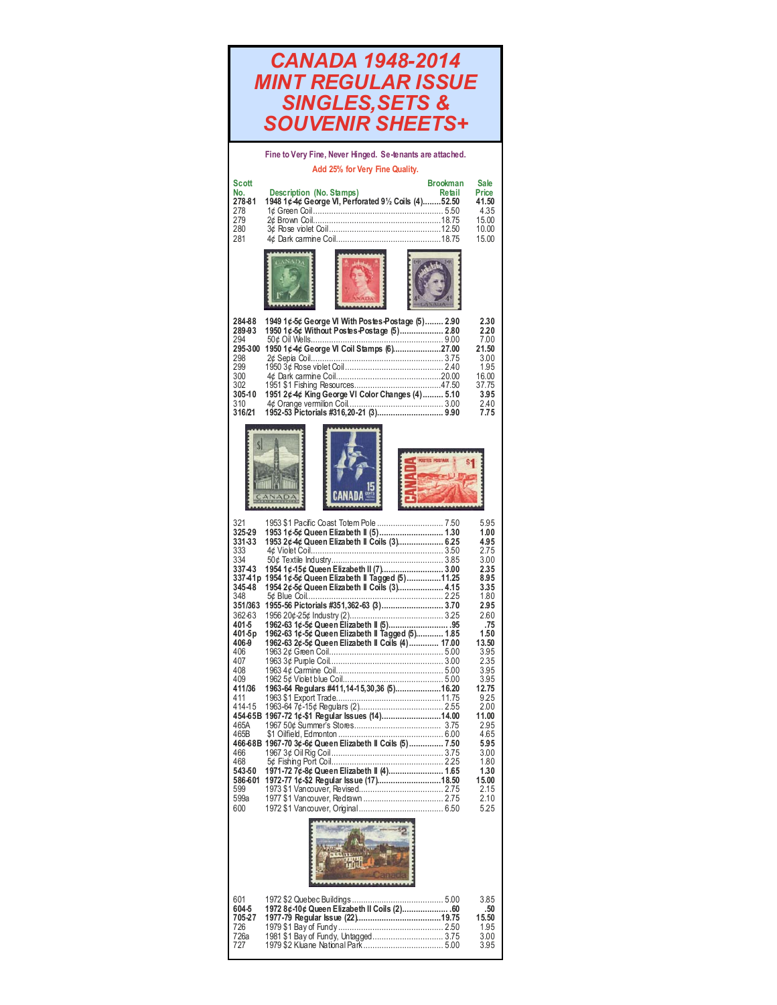| <b>CANADA 1948-2014</b><br><b>MINT REGULAR ISSUE</b><br><b>SINGLES, SETS &amp;</b><br><b>SOUVENIR SHEETS+</b> |                                                                                                                                                                                                                                                                                                         |                                                                                                              |  |
|---------------------------------------------------------------------------------------------------------------|---------------------------------------------------------------------------------------------------------------------------------------------------------------------------------------------------------------------------------------------------------------------------------------------------------|--------------------------------------------------------------------------------------------------------------|--|
|                                                                                                               | Fine to Very Fine, Never Hinged. Se-tenants are attached.                                                                                                                                                                                                                                               |                                                                                                              |  |
| <b>Scott</b><br>No.<br>278-81<br>278<br>279<br>280<br>281                                                     | Add 25% for Very Fine Quality.<br><b>Brookman</b><br><b>Description (No. Stamps)</b><br>Retail<br>1948 1¢ 4¢ George VI, Perforated 91/2 Coils (4)52.50                                                                                                                                                  | Sale<br>Price<br>41.50<br>4.35<br>15.00<br>10.00<br>15.00                                                    |  |
|                                                                                                               |                                                                                                                                                                                                                                                                                                         |                                                                                                              |  |
| 284-88<br>289-93<br>294<br>295-300<br>298<br>299<br>300<br>302<br>305-10<br>310<br>316/21                     | 1949 1¢-5¢ George VI With Postes-Postage (5) 2.90<br>1950 1¢-5¢ Without Postes Postage (5) 2.80<br>1950 1¢4¢ George VI Coil Stamps (6)27.00<br>1951 2¢4¢ King George VI Color Changes (4) 5.10                                                                                                          | 2.30<br>2.20<br>7.00<br>21.50<br>3.00<br>1.95<br>16.00<br>37.75<br>3.95<br>2.40<br>7.75                      |  |
|                                                                                                               |                                                                                                                                                                                                                                                                                                         |                                                                                                              |  |
| 321<br>325-29<br>331-33<br>333<br>334<br>337-43<br>345-48<br>348<br>362-63<br>401-5<br>401-5p<br>406-9        | 1953 1¢-5¢ Queen Elizabeth II (5) 1.30<br>1953 2¢-4¢ Queen Elizabeth II Coils (3) 6.25<br>337-41p 1954 1¢-5¢ Queen Elizabeth II Tagged (5)11.25<br>1954 2¢ 5¢ Queen Elizabeth II Coils (3) 4.15<br>1962-63 1¢-5¢ Queen Elizabeth II Tagged (5) 1.85<br>1962-63 2¢-5¢ Queen Elizabeth II Coils (4) 17.00 | 5.95<br>1.00<br>4.95<br>2.75<br>3.00<br>2.35<br>8.95<br>3.35<br>1.80<br>2.95<br>2.60<br>.75<br>1.50<br>13.50 |  |
| 406<br>407<br>408<br>409<br>411/36<br>411<br>414-15<br>465A<br>465B<br>466<br>468                             | 1963-64 Regulars #411,14-15,30,36 (5)16.20<br>454-65B 1967-72 1¢-\$1 Regular Issues (14)14.00<br>466-68B 1967-70 3¢-6¢ Queen Elizabeth II Coils (5)  7.50                                                                                                                                               | 3.95<br>2.35<br>3.95<br>3.95<br>12.75<br>9.25<br>2.00<br>11.00<br>2.95<br>4.65<br>5.95<br>3.00<br>1.80       |  |
| 543-50<br>586-601<br>599<br>599a<br>600                                                                       | 1971-72 7¢-8¢ Queen Elizabeth II (4) 1.65                                                                                                                                                                                                                                                               | 1.30<br>15.00<br>2.15<br>2.10<br>5.25                                                                        |  |
| 601<br>604-5<br>705-27<br>726<br>726a<br>727                                                                  | 1972 8¢-10¢ Queen Elizabeth II Coils (2) 60                                                                                                                                                                                                                                                             | 3.85<br>.50<br>15.50<br>1.95<br>3.00<br>3.95                                                                 |  |

I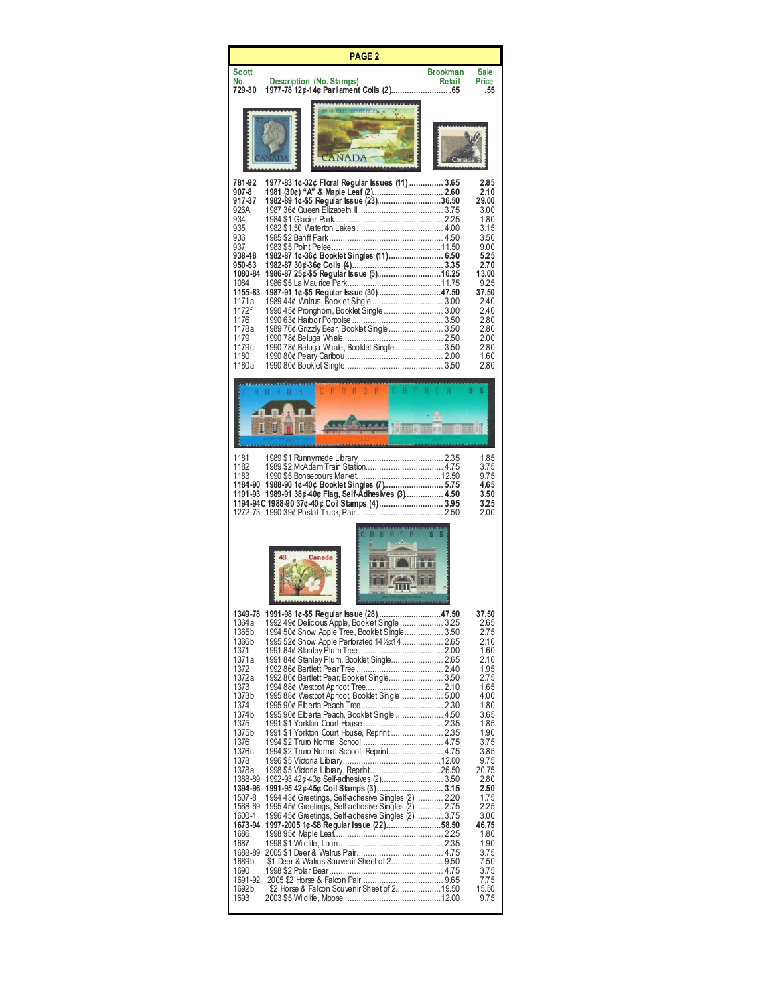| <b>PAGE 2</b>                                                                                                                                                                                                                                                                                                                                                                                                                                                                                                                                                                                                                                                                                                                                                                                                                                       |                                  |                                                                                                                                                                                                                                                                  |  |
|-----------------------------------------------------------------------------------------------------------------------------------------------------------------------------------------------------------------------------------------------------------------------------------------------------------------------------------------------------------------------------------------------------------------------------------------------------------------------------------------------------------------------------------------------------------------------------------------------------------------------------------------------------------------------------------------------------------------------------------------------------------------------------------------------------------------------------------------------------|----------------------------------|------------------------------------------------------------------------------------------------------------------------------------------------------------------------------------------------------------------------------------------------------------------|--|
| <b>Scott</b><br>Description (No. Stamps)<br>No.<br>729-30                                                                                                                                                                                                                                                                                                                                                                                                                                                                                                                                                                                                                                                                                                                                                                                           | <b>Brookman</b><br><b>Retail</b> | Sale<br>Price<br>.55                                                                                                                                                                                                                                             |  |
|                                                                                                                                                                                                                                                                                                                                                                                                                                                                                                                                                                                                                                                                                                                                                                                                                                                     |                                  |                                                                                                                                                                                                                                                                  |  |
| 781-92<br>1977-83 1¢-32¢ Floral Regular Issues (11)  3.65<br>907-8<br>1982-89 1¢-\$5 Regular Issue (23)36.50<br>917-37<br>926A<br>934<br>935<br>936<br>937<br>1982-87 1¢-36¢ Booklet Singles (11) 6.50<br>938-48<br>950-53<br>1986-87 25¢ \$5 Regular Issue (5)16.25<br>1080-84<br>1084<br>1987-91 1¢-\$5 Regular Issue (30)47.50<br>1155-83<br>1171a<br>1989 44¢ Walrus, Booklet Single  3.00<br>1172f<br>1990 45¢ Pronghom, Booklet Single  3.00<br>1176<br>1989 76¢ Grizzly Bear, Booklet Single 3.50<br>1178a<br>1179<br>1990 78¢ Beluga Whale, Booklet Single  3.50<br>1179c<br>1180<br>1180a                                                                                                                                                                                                                                                  |                                  | 2.85<br>2.10<br>29.00<br>3.00<br>1.80<br>3.15<br>3.50<br>9.00<br>5.25<br>2.70<br>13.00<br>9.25<br>37.50<br>2.40<br>2.40<br>2.80<br>2.80<br>2.00<br>2.80<br>1.60<br>2.80                                                                                          |  |
| <b>CANADA</b><br><b>CARADE</b><br>п.<br>я<br>D<br>я<br>H<br>₩                                                                                                                                                                                                                                                                                                                                                                                                                                                                                                                                                                                                                                                                                                                                                                                       |                                  |                                                                                                                                                                                                                                                                  |  |
| 1181<br>1182<br>1183<br>1988-90 1¢-40¢ Booklet Singles (7) 5.75<br>1184-90<br>1191-93 1989-91 38¢-40¢ Flag, Self-Adhesives (3) 4.50<br>1194-94C 1988-00 37¢-40¢ Coil Stamps (4) 3.95                                                                                                                                                                                                                                                                                                                                                                                                                                                                                                                                                                                                                                                                |                                  | 1.85<br>3.75<br>9.75<br>4.65<br>3.50<br>3.25<br>2.00                                                                                                                                                                                                             |  |
|                                                                                                                                                                                                                                                                                                                                                                                                                                                                                                                                                                                                                                                                                                                                                                                                                                                     |                                  |                                                                                                                                                                                                                                                                  |  |
| 1349-78<br>1992 49¢ Delicious Apple, Booklet Single  3.25<br>1364a<br>1994 50¢ Snow Apple Tree, Booklet Single 3.50<br>1365b<br>1995 52¢ Snow Apple Perforated 141/2x14  2.65<br>1366b<br>1371<br>1991 84¢ Stanley Plum, Booklet Single 2.65<br>1371a<br>1372<br>1992 86¢ Bartlett Pear, Booklet Single 3.50<br>1372a<br>1373<br>1373b<br>1995 88¢ Westcot Apricot, Booklet Single 5.00<br>1374<br>1995 90¢ Elberta Peach, Booklet Single  4.50<br>1374b<br>1375<br>1375b<br>1376<br>1994 \$2 Truro Normal School, Reprint 4.75<br>1376c<br>1378<br>1378a<br>1388-89<br>1394-96<br>1994 43¢ Greetings, Self-adhesive Singles (2)  2.20<br>1507-8<br>1568-69<br>1600-1<br>1997-2005 1¢-\$8 Regular Issue (22)58.50<br>1673-94<br>1686<br>1687<br>1688-89<br>1689b<br>1690<br>1691-92<br>\$2 Horse & Falcon Souvenir Sheet of 219.50<br>1692b<br>1693 |                                  | 37.JU<br>2.65<br>2.75<br>2.10<br>1.60<br>2.10<br>1.95<br>2.75<br>1.65<br>4.00<br>1.80<br>3.65<br>1.85<br>1.90<br>3.75<br>3.85<br>9.75<br>20.75<br>2.80<br>2.50<br>1.75<br>2.25<br>3.00<br>46.75<br>1.80<br>1.90<br>3.75<br>7.50<br>3.75<br>7.75<br>15.50<br>9.75 |  |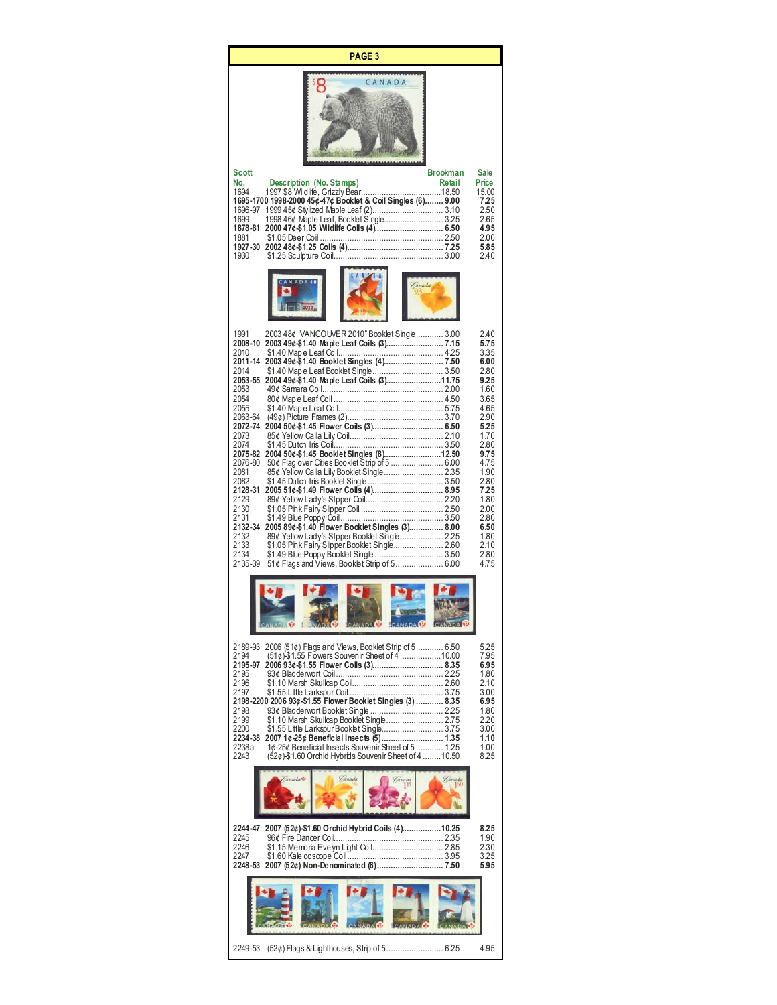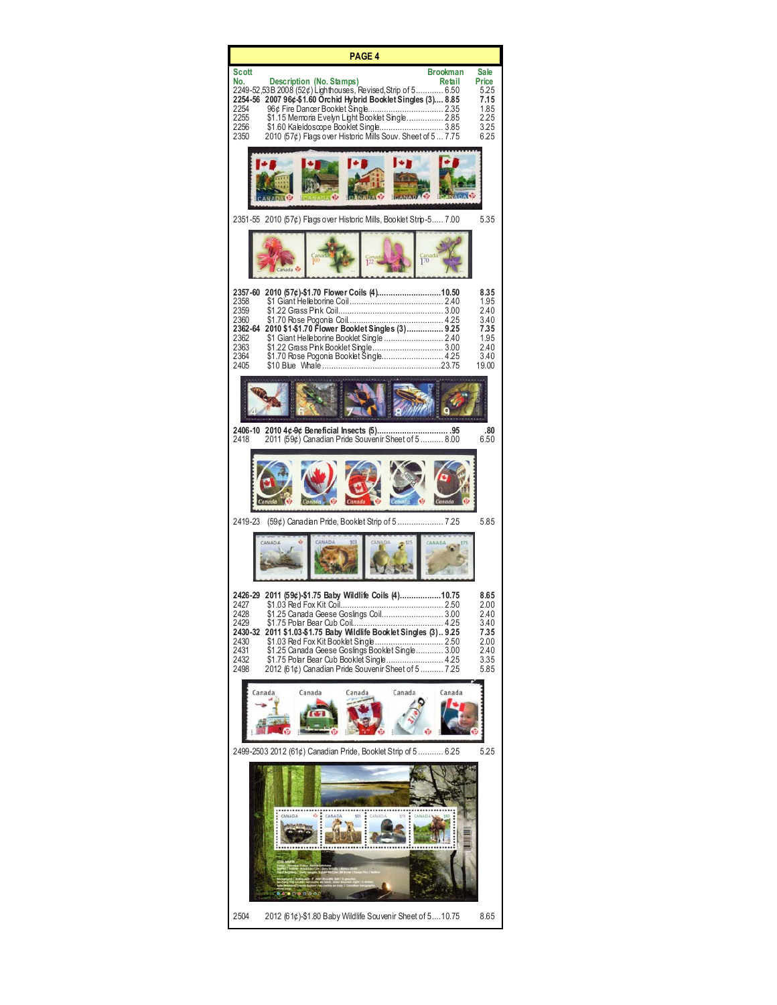